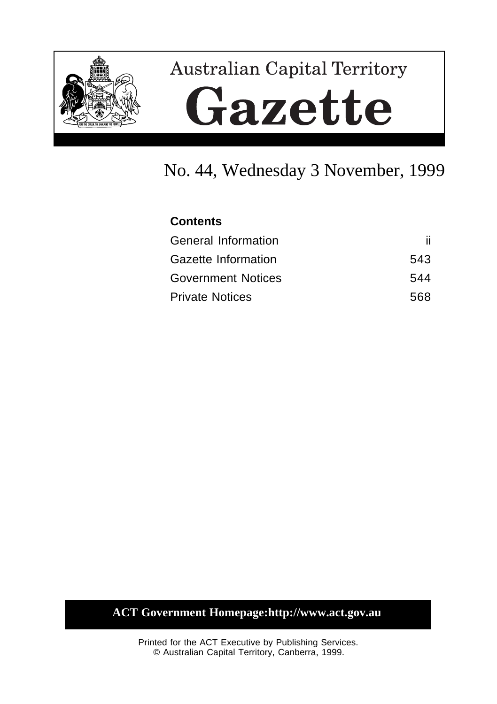

# **Australian Capital Territory** Gazette

# No. 44, Wednesday 3 November, 1999

## **Contents**

| <b>General Information</b> |     |
|----------------------------|-----|
| Gazette Information        | 543 |
| <b>Government Notices</b>  | 544 |
| <b>Private Notices</b>     | 568 |

## **ACT Government Homepage:http://www.act.gov.au**

Printed for the ACT Executive by Publishing Services. © Australian Capital Territory, Canberra, 1999.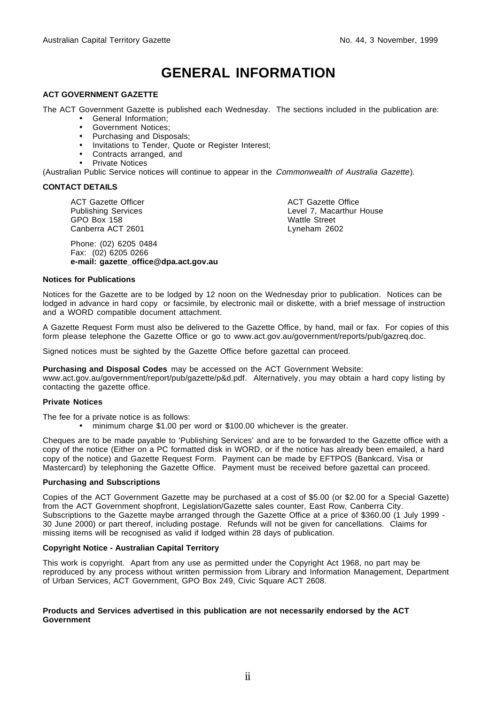# **GENERAL INFORMATION**

#### **ACT GOVERNMENT GAZETTE**

The ACT Government Gazette is published each Wednesday. The sections included in the publication are:

- General Information;
- Government Notices;
- Purchasing and Disposals;
- Invitations to Tender, Quote or Register Interest;
- Contracts arranged, and
- Private Notices

(Australian Public Service notices will continue to appear in the Commonwealth of Australia Gazette).

#### **CONTACT DETAILS**

ACT Gazette Officer Publishing Services GPO Box 158 Canberra ACT 2601

Phone: (02) 6205 0484 Fax: (02) 6205 0266 **e-mail: gazette\_office@dpa.act.gov.au** ACT Gazette Office Level 7, Macarthur House Wattle Street Lyneham 2602

#### **Notices for Publications**

Notices for the Gazette are to be lodged by 12 noon on the Wednesday prior to publication. Notices can be lodged in advance in hard copy or facsimile, by electronic mail or diskette, with a brief message of instruction and a WORD compatible document attachment.

A Gazette Request Form must also be delivered to the Gazette Office, by hand, mail or fax. For copies of this form please telephone the Gazette Office or go to www.act.gov.au/government/reports/pub/gazreq.doc.

Signed notices must be sighted by the Gazette Office before gazettal can proceed.

**Purchasing and Disposal Codes** may be accessed on the ACT Government Website:

www.act.gov.au/government/report/pub/gazette/p&d.pdf. Alternatively, you may obtain a hard copy listing by contacting the gazette office.

#### **Private Notices**

The fee for a private notice is as follows:

• minimum charge \$1.00 per word or \$100.00 whichever is the greater.

Cheques are to be made payable to 'Publishing Services' and are to be forwarded to the Gazette office with a copy of the notice (Either on a PC formatted disk in WORD, or if the notice has already been emailed, a hard copy of the notice) and Gazette Request Form. Payment can be made by EFTPOS (Bankcard, Visa or Mastercard) by telephoning the Gazette Office. Payment must be received before gazettal can proceed.

#### **Purchasing and Subscriptions**

Copies of the ACT Government Gazette may be purchased at a cost of \$5.00 (or \$2.00 for a Special Gazette) from the ACT Government shopfront, Legislation/Gazette sales counter, East Row, Canberra City. Subscriptions to the Gazette maybe arranged through the Gazette Office at a price of \$360.00 (1 July 1999 -30 June 2000) or part thereof, including postage. Refunds will not be given for cancellations. Claims for missing items will be recognised as valid if lodged within 28 days of publication.

#### **Copyright Notice - Australian Capital Territory**

This work is copyright. Apart from any use as permitted under the Copyright Act 1968, no part may be reproduced by any process without written permission from Library and Information Management, Department of Urban Services, ACT Government, GPO Box 249, Civic Square ACT 2608.

#### **Products and Services advertised in this publication are not necessarily endorsed by the ACT Government**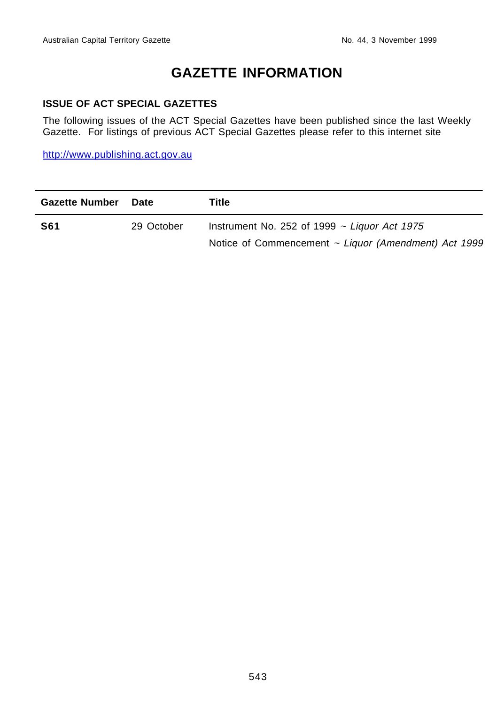# **GAZETTE INFORMATION**

#### **ISSUE OF ACT SPECIAL GAZETTES**

The following issues of the ACT Special Gazettes have been published since the last Weekly Gazette. For listings of previous ACT Special Gazettes please refer to this internet site

http://www.publishing.act.gov.au

| <b>Gazette Number</b> | Date       | Title                                                |
|-----------------------|------------|------------------------------------------------------|
| <b>S61</b>            | 29 October | Instrument No. 252 of 1999 $\sim$ Liguor Act 1975    |
|                       |            | Notice of Commencement ~ Liquor (Amendment) Act 1999 |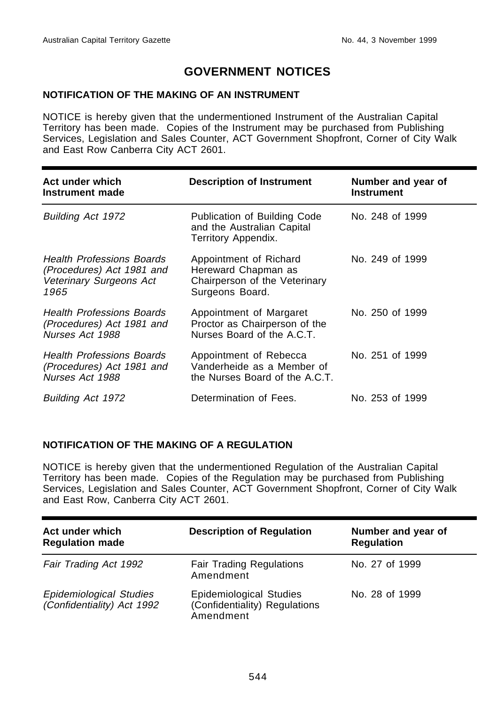## **GOVERNMENT NOTICES**

#### **NOTIFICATION OF THE MAKING OF AN INSTRUMENT**

NOTICE is hereby given that the undermentioned Instrument of the Australian Capital Territory has been made. Copies of the Instrument may be purchased from Publishing Services, Legislation and Sales Counter, ACT Government Shopfront, Corner of City Walk and East Row Canberra City ACT 2601.

| Act under which<br>Instrument made                                                               | <b>Description of Instrument</b>                                                                  | Number and year of<br><b>Instrument</b> |
|--------------------------------------------------------------------------------------------------|---------------------------------------------------------------------------------------------------|-----------------------------------------|
| Building Act 1972                                                                                | Publication of Building Code<br>and the Australian Capital<br>Territory Appendix.                 | No. 248 of 1999                         |
| <b>Health Professions Boards</b><br>(Procedures) Act 1981 and<br>Veterinary Surgeons Act<br>1965 | Appointment of Richard<br>Hereward Chapman as<br>Chairperson of the Veterinary<br>Surgeons Board. | No. 249 of 1999                         |
| <b>Health Professions Boards</b><br>(Procedures) Act 1981 and<br>Nurses Act 1988                 | Appointment of Margaret<br>Proctor as Chairperson of the<br>Nurses Board of the A.C.T.            | No. 250 of 1999                         |
| <b>Health Professions Boards</b><br>(Procedures) Act 1981 and<br>Nurses Act 1988                 | Appointment of Rebecca<br>Vanderheide as a Member of<br>the Nurses Board of the A.C.T.            | No. 251 of 1999                         |
| Building Act 1972                                                                                | Determination of Fees.                                                                            | No. 253 of 1999                         |

#### **NOTIFICATION OF THE MAKING OF A REGULATION**

NOTICE is hereby given that the undermentioned Regulation of the Australian Capital Territory has been made. Copies of the Regulation may be purchased from Publishing Services, Legislation and Sales Counter, ACT Government Shopfront, Corner of City Walk and East Row, Canberra City ACT 2601.

| Act under which<br><b>Regulation made</b>             | <b>Description of Regulation</b>                                      | Number and year of<br><b>Regulation</b> |
|-------------------------------------------------------|-----------------------------------------------------------------------|-----------------------------------------|
| Fair Trading Act 1992                                 | <b>Fair Trading Regulations</b><br>Amendment                          | No. 27 of 1999                          |
| Epidemiological Studies<br>(Confidentiality) Act 1992 | Epidemiological Studies<br>(Confidentiality) Regulations<br>Amendment | No. 28 of 1999                          |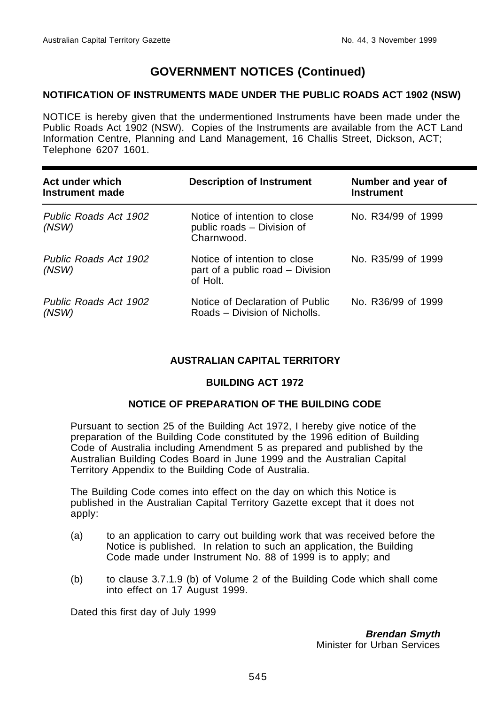#### **NOTIFICATION OF INSTRUMENTS MADE UNDER THE PUBLIC ROADS ACT 1902 (NSW)**

NOTICE is hereby given that the undermentioned Instruments have been made under the Public Roads Act 1902 (NSW). Copies of the Instruments are available from the ACT Land Information Centre, Planning and Land Management, 16 Challis Street, Dickson, ACT; Telephone 6207 1601.

| Act under which<br>Instrument made | <b>Description of Instrument</b>                                             | Number and year of<br><b>Instrument</b> |
|------------------------------------|------------------------------------------------------------------------------|-----------------------------------------|
| Public Roads Act 1902<br>(NSW)     | Notice of intention to close<br>public roads - Division of<br>Charnwood.     | No. R34/99 of 1999                      |
| Public Roads Act 1902<br>(NSW)     | Notice of intention to close<br>part of a public road - Division<br>of Holt. | No. R35/99 of 1999                      |
| Public Roads Act 1902<br>(NSW)     | Notice of Declaration of Public<br>Roads – Division of Nicholls.             | No. R36/99 of 1999                      |

#### **AUSTRALIAN CAPITAL TERRITORY**

#### **BUILDING ACT 1972**

#### **NOTICE OF PREPARATION OF THE BUILDING CODE**

Pursuant to section 25 of the Building Act 1972, I hereby give notice of the preparation of the Building Code constituted by the 1996 edition of Building Code of Australia including Amendment 5 as prepared and published by the Australian Building Codes Board in June 1999 and the Australian Capital Territory Appendix to the Building Code of Australia.

The Building Code comes into effect on the day on which this Notice is published in the Australian Capital Territory Gazette except that it does not apply:

- (a) to an application to carry out building work that was received before the Notice is published. In relation to such an application, the Building Code made under Instrument No. 88 of 1999 is to apply; and
- (b) to clause 3.7.1.9 (b) of Volume 2 of the Building Code which shall come into effect on 17 August 1999.

Dated this first day of July 1999

**Brendan Smyth** Minister for Urban Services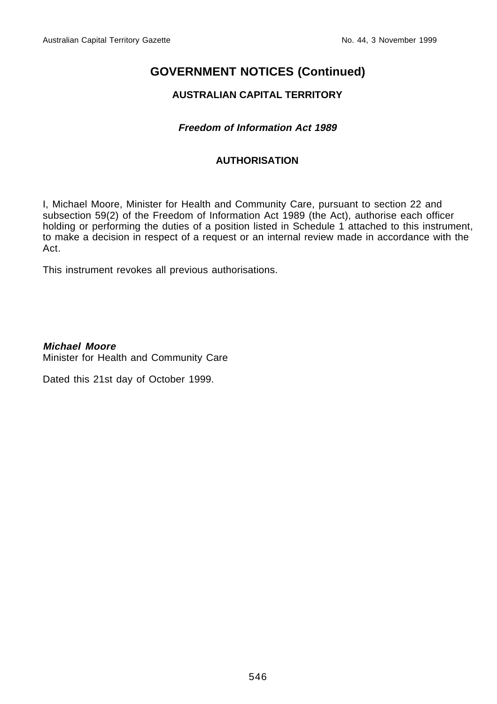#### **AUSTRALIAN CAPITAL TERRITORY**

#### **Freedom of Information Act 1989**

#### **AUTHORISATION**

I, Michael Moore, Minister for Health and Community Care, pursuant to section 22 and subsection 59(2) of the Freedom of Information Act 1989 (the Act), authorise each officer holding or performing the duties of a position listed in Schedule 1 attached to this instrument, to make a decision in respect of a request or an internal review made in accordance with the Act.

This instrument revokes all previous authorisations.

**Michael Moore** Minister for Health and Community Care

Dated this 21st day of October 1999.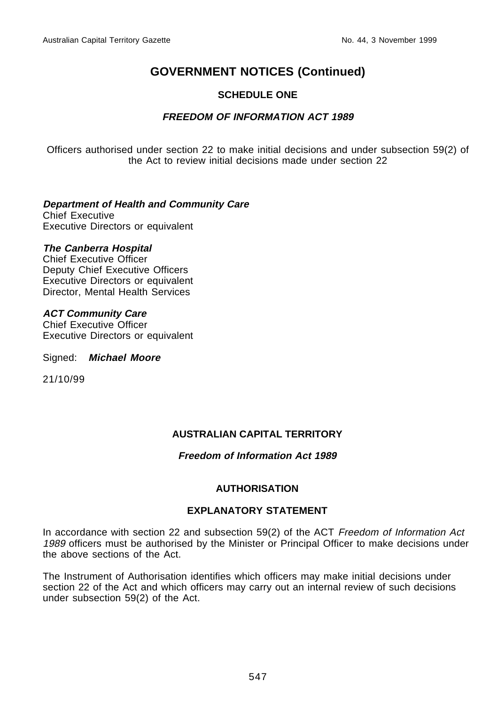#### **SCHEDULE ONE**

#### **FREEDOM OF INFORMATION ACT 1989**

Officers authorised under section 22 to make initial decisions and under subsection 59(2) of the Act to review initial decisions made under section 22

## **Department of Health and Community Care**

Chief Executive Executive Directors or equivalent

#### **The Canberra Hospital**

Chief Executive Officer Deputy Chief Executive Officers Executive Directors or equivalent Director, Mental Health Services

#### **ACT Community Care**

Chief Executive Officer Executive Directors or equivalent

Signed: **Michael Moore**

21/10/99

#### **AUSTRALIAN CAPITAL TERRITORY**

#### **Freedom of Information Act 1989**

#### **AUTHORISATION**

#### **EXPLANATORY STATEMENT**

In accordance with section 22 and subsection 59(2) of the ACT Freedom of Information Act 1989 officers must be authorised by the Minister or Principal Officer to make decisions under the above sections of the Act.

The Instrument of Authorisation identifies which officers may make initial decisions under section 22 of the Act and which officers may carry out an internal review of such decisions under subsection 59(2) of the Act.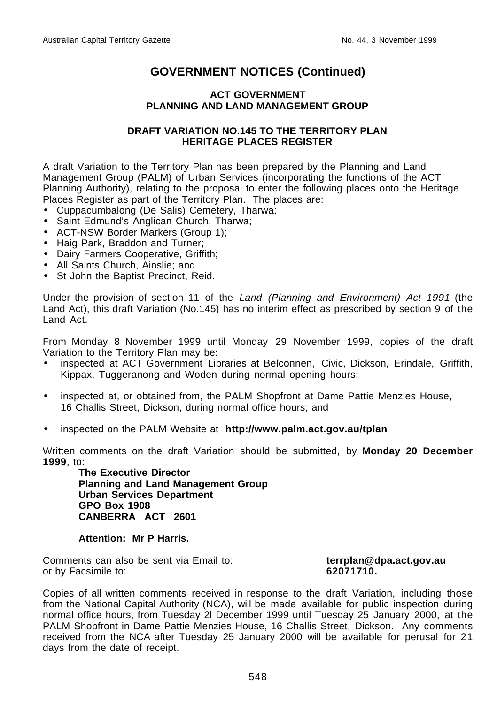#### **ACT GOVERNMENT PLANNING AND LAND MANAGEMENT GROUP**

#### **DRAFT VARIATION NO.145 TO THE TERRITORY PLAN HERITAGE PLACES REGISTER**

A draft Variation to the Territory Plan has been prepared by the Planning and Land Management Group (PALM) of Urban Services (incorporating the functions of the ACT Planning Authority), relating to the proposal to enter the following places onto the Heritage Places Register as part of the Territory Plan. The places are:

- Cuppacumbalong (De Salis) Cemetery, Tharwa;
- Saint Edmund's Anglican Church, Tharwa;
- ACT-NSW Border Markers (Group 1);
- Haig Park, Braddon and Turner;
- Dairy Farmers Cooperative, Griffith;
- All Saints Church, Ainslie; and
- St John the Baptist Precinct, Reid.

Under the provision of section 11 of the Land (Planning and Environment) Act 1991 (the Land Act), this draft Variation (No.145) has no interim effect as prescribed by section 9 of the Land Act.

From Monday 8 November 1999 until Monday 29 November 1999, copies of the draft Variation to the Territory Plan may be:

- inspected at ACT Government Libraries at Belconnen, Civic, Dickson, Erindale, Griffith, Kippax, Tuggeranong and Woden during normal opening hours;
- inspected at, or obtained from, the PALM Shopfront at Dame Pattie Menzies House, 16 Challis Street, Dickson, during normal office hours; and
- inspected on the PALM Website at **http://www.palm.act.gov.au/tplan**

Written comments on the draft Variation should be submitted, by **Monday 20 December 1999**, to:

**The Executive Director Planning and Land Management Group Urban Services Department GPO Box 1908 CANBERRA ACT 2601**

#### **Attention: Mr P Harris.**

Comments can also be sent via Email to: **terrplan@dpa.act.gov.au** or by Facsimile to: **62071710.**

Copies of all written comments received in response to the draft Variation, including those from the National Capital Authority (NCA), will be made available for public inspection during normal office hours, from Tuesday 2l December 1999 until Tuesday 25 January 2000, at the PALM Shopfront in Dame Pattie Menzies House, 16 Challis Street, Dickson. Any comments received from the NCA after Tuesday 25 January 2000 will be available for perusal for 21 days from the date of receipt.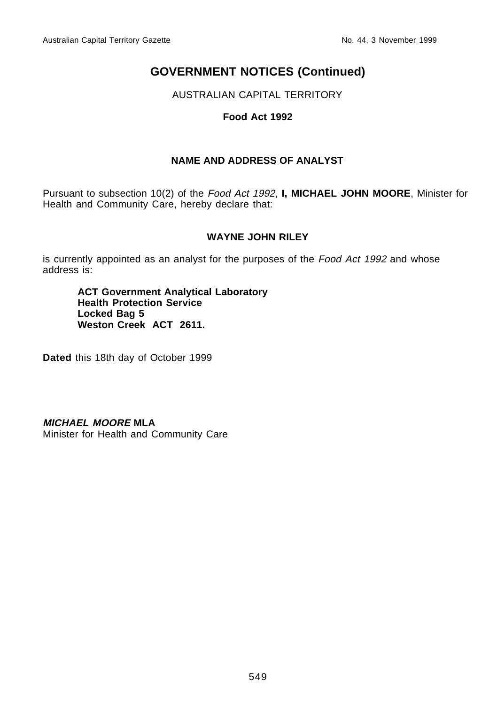AUSTRALIAN CAPITAL TERRITORY

#### **Food Act 1992**

#### **NAME AND ADDRESS OF ANALYST**

Pursuant to subsection 10(2) of the Food Act 1992, **I, MICHAEL JOHN MOORE**, Minister for Health and Community Care, hereby declare that:

#### **WAYNE JOHN RILEY**

is currently appointed as an analyst for the purposes of the Food Act 1992 and whose address is:

**ACT Government Analytical Laboratory Health Protection Service Locked Bag 5** Weston Creek ACT 2611.

**Dated** this 18th day of October 1999

**MICHAEL MOORE MLA**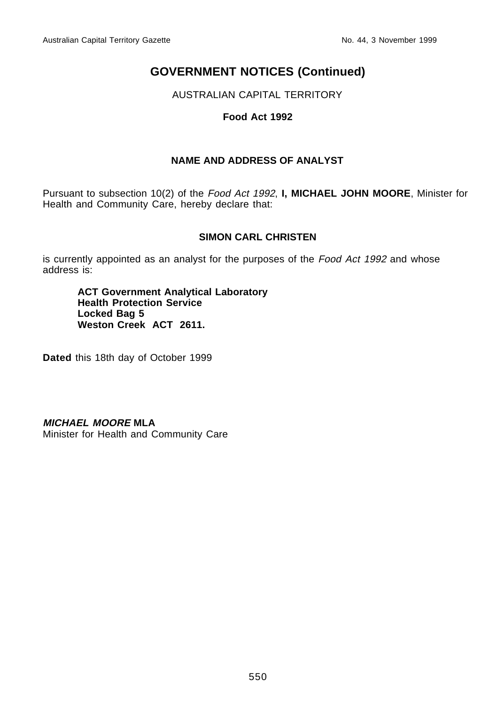AUSTRALIAN CAPITAL TERRITORY

#### **Food Act 1992**

#### **NAME AND ADDRESS OF ANALYST**

Pursuant to subsection 10(2) of the Food Act 1992, **I, MICHAEL JOHN MOORE**, Minister for Health and Community Care, hereby declare that:

#### **SIMON CARL CHRISTEN**

is currently appointed as an analyst for the purposes of the Food Act 1992 and whose address is:

**ACT Government Analytical Laboratory Health Protection Service Locked Bag 5** Weston Creek ACT 2611.

**Dated** this 18th day of October 1999

**MICHAEL MOORE MLA**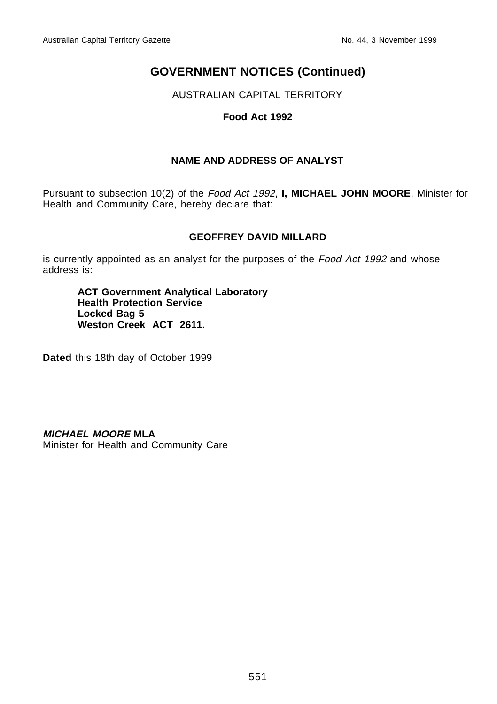AUSTRALIAN CAPITAL TERRITORY

#### **Food Act 1992**

#### **NAME AND ADDRESS OF ANALYST**

Pursuant to subsection 10(2) of the Food Act 1992, **I, MICHAEL JOHN MOORE**, Minister for Health and Community Care, hereby declare that:

#### **GEOFFREY DAVID MILLARD**

is currently appointed as an analyst for the purposes of the Food Act 1992 and whose address is:

**ACT Government Analytical Laboratory Health Protection Service Locked Bag 5** Weston Creek ACT 2611.

**Dated** this 18th day of October 1999

**MICHAEL MOORE MLA**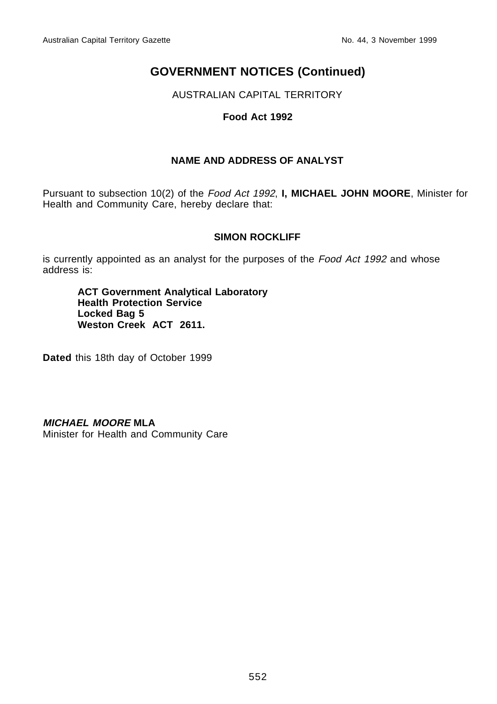AUSTRALIAN CAPITAL TERRITORY

#### **Food Act 1992**

#### **NAME AND ADDRESS OF ANALYST**

Pursuant to subsection 10(2) of the Food Act 1992, **I, MICHAEL JOHN MOORE**, Minister for Health and Community Care, hereby declare that:

#### **SIMON ROCKLIFF**

is currently appointed as an analyst for the purposes of the Food Act 1992 and whose address is:

**ACT Government Analytical Laboratory Health Protection Service Locked Bag 5** Weston Creek ACT 2611.

**Dated** this 18th day of October 1999

**MICHAEL MOORE MLA**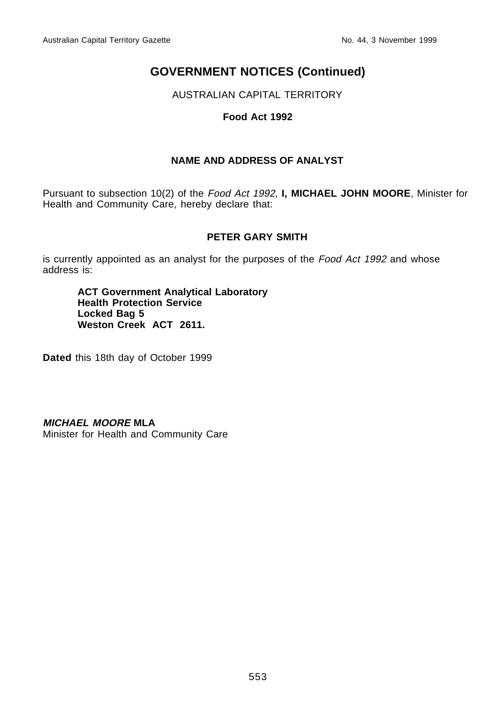AUSTRALIAN CAPITAL TERRITORY

#### **Food Act 1992**

#### **NAME AND ADDRESS OF ANALYST**

Pursuant to subsection 10(2) of the Food Act 1992, **I, MICHAEL JOHN MOORE**, Minister for Health and Community Care, hereby declare that:

#### **PETER GARY SMITH**

is currently appointed as an analyst for the purposes of the Food Act 1992 and whose address is:

**ACT Government Analytical Laboratory Health Protection Service Locked Bag 5** Weston Creek ACT 2611.

**Dated** this 18th day of October 1999

**MICHAEL MOORE MLA**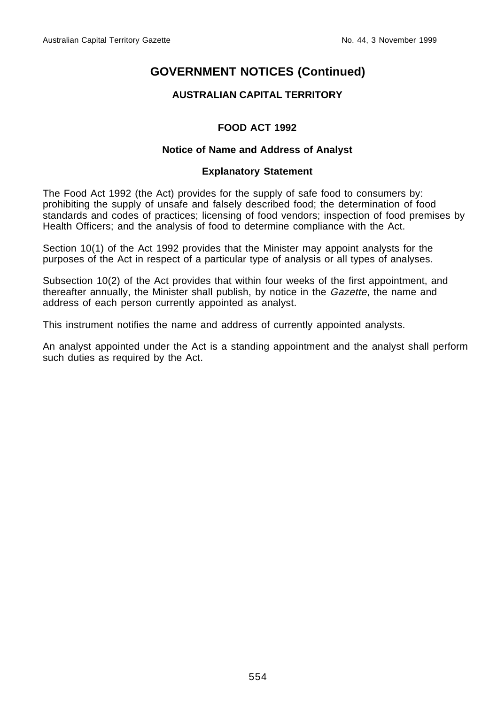#### **AUSTRALIAN CAPITAL TERRITORY**

#### **FOOD ACT 1992**

#### **Notice of Name and Address of Analyst**

#### **Explanatory Statement**

The Food Act 1992 (the Act) provides for the supply of safe food to consumers by: prohibiting the supply of unsafe and falsely described food; the determination of food standards and codes of practices; licensing of food vendors; inspection of food premises by Health Officers; and the analysis of food to determine compliance with the Act.

Section 10(1) of the Act 1992 provides that the Minister may appoint analysts for the purposes of the Act in respect of a particular type of analysis or all types of analyses.

Subsection 10(2) of the Act provides that within four weeks of the first appointment, and thereafter annually, the Minister shall publish, by notice in the Gazette, the name and address of each person currently appointed as analyst.

This instrument notifies the name and address of currently appointed analysts.

An analyst appointed under the Act is a standing appointment and the analyst shall perform such duties as required by the Act.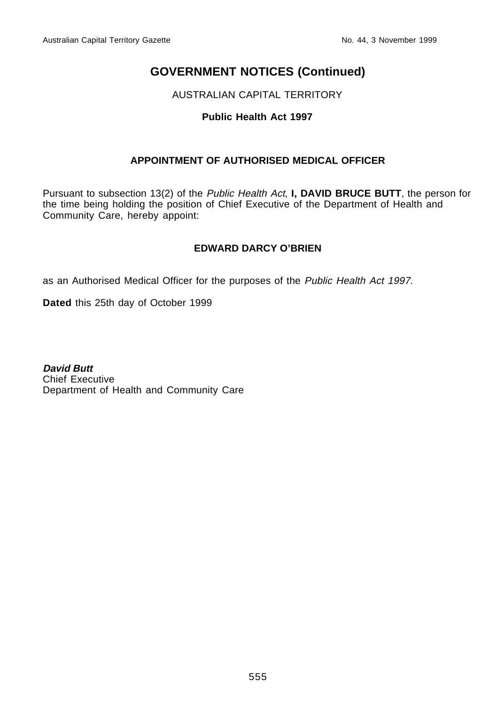AUSTRALIAN CAPITAL TERRITORY

#### **Public Health Act 1997**

#### **APPOINTMENT OF AUTHORISED MEDICAL OFFICER**

Pursuant to subsection 13(2) of the Public Health Act, **I, DAVID BRUCE BUTT**, the person for the time being holding the position of Chief Executive of the Department of Health and Community Care, hereby appoint:

#### **EDWARD DARCY O'BRIEN**

as an Authorised Medical Officer for the purposes of the Public Health Act 1997.

**Dated** this 25th day of October 1999

**David Butt** Chief Executive Department of Health and Community Care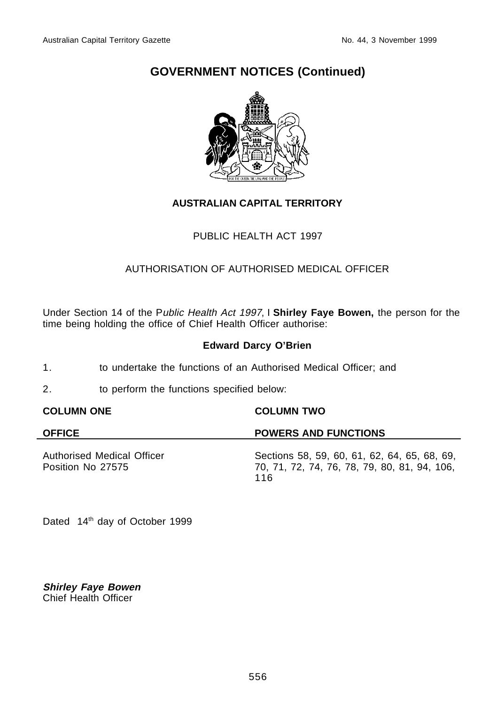

#### **AUSTRALIAN CAPITAL TERRITORY**

#### PUBLIC HEALTH ACT 1997

### AUTHORISATION OF AUTHORISED MEDICAL OFFICER

Under Section 14 of the Public Health Act 1997, I **Shirley Faye Bowen,** the person for the time being holding the office of Chief Health Officer authorise:

#### **Edward Darcy O'Brien**

- 1. to undertake the functions of an Authorised Medical Officer; and
- 2. to perform the functions specified below:

#### **COLUMN ONE COLUMN TWO**

#### **OFFICE POWERS AND FUNCTIONS** Authorised Medical Officer Position No 27575 Sections 58, 59, 60, 61, 62, 64, 65, 68, 69, 70, 71, 72, 74, 76, 78, 79, 80, 81, 94, 106, 116

Dated 14th day of October 1999

**Shirley Faye Bowen** Chief Health Officer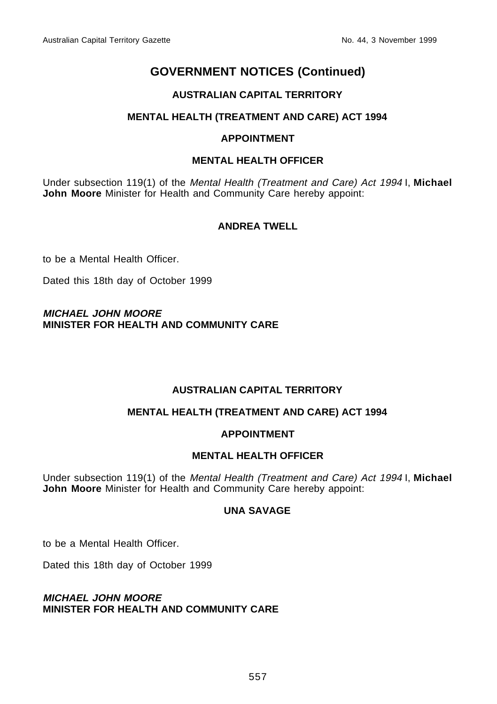#### **AUSTRALIAN CAPITAL TERRITORY**

#### **MENTAL HEALTH (TREATMENT AND CARE) ACT 1994**

#### **APPOINTMENT**

#### **MENTAL HEALTH OFFICER**

Under subsection 119(1) of the Mental Health (Treatment and Care) Act 1994 I, **Michael John Moore** Minister for Health and Community Care hereby appoint:

#### **ANDREA TWELL**

to be a Mental Health Officer.

Dated this 18th day of October 1999

#### **MICHAEL JOHN MOORE MINISTER FOR HEALTH AND COMMUNITY CARE**

#### **AUSTRALIAN CAPITAL TERRITORY**

#### **MENTAL HEALTH (TREATMENT AND CARE) ACT 1994**

#### **APPOINTMENT**

#### **MENTAL HEALTH OFFICER**

Under subsection 119(1) of the Mental Health (Treatment and Care) Act 1994 I, **Michael John Moore** Minister for Health and Community Care hereby appoint:

#### **UNA SAVAGE**

to be a Mental Health Officer.

Dated this 18th day of October 1999

**MICHAEL JOHN MOORE MINISTER FOR HEALTH AND COMMUNITY CARE**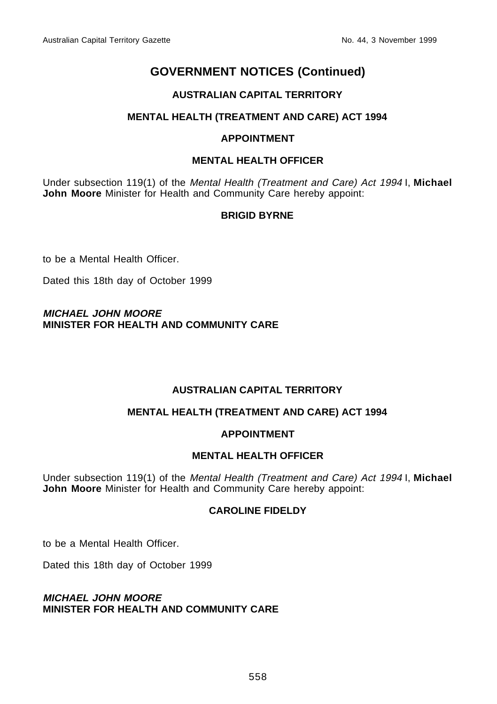#### **AUSTRALIAN CAPITAL TERRITORY**

#### **MENTAL HEALTH (TREATMENT AND CARE) ACT 1994**

#### **APPOINTMENT**

#### **MENTAL HEALTH OFFICER**

Under subsection 119(1) of the Mental Health (Treatment and Care) Act 1994 I, **Michael John Moore** Minister for Health and Community Care hereby appoint:

#### **BRIGID BYRNE**

to be a Mental Health Officer.

Dated this 18th day of October 1999

#### **MICHAEL JOHN MOORE MINISTER FOR HEALTH AND COMMUNITY CARE**

#### **AUSTRALIAN CAPITAL TERRITORY**

#### **MENTAL HEALTH (TREATMENT AND CARE) ACT 1994**

#### **APPOINTMENT**

#### **MENTAL HEALTH OFFICER**

Under subsection 119(1) of the Mental Health (Treatment and Care) Act 1994 I, **Michael John Moore** Minister for Health and Community Care hereby appoint:

#### **CAROLINE FIDELDY**

to be a Mental Health Officer.

Dated this 18th day of October 1999

**MICHAEL JOHN MOORE MINISTER FOR HEALTH AND COMMUNITY CARE**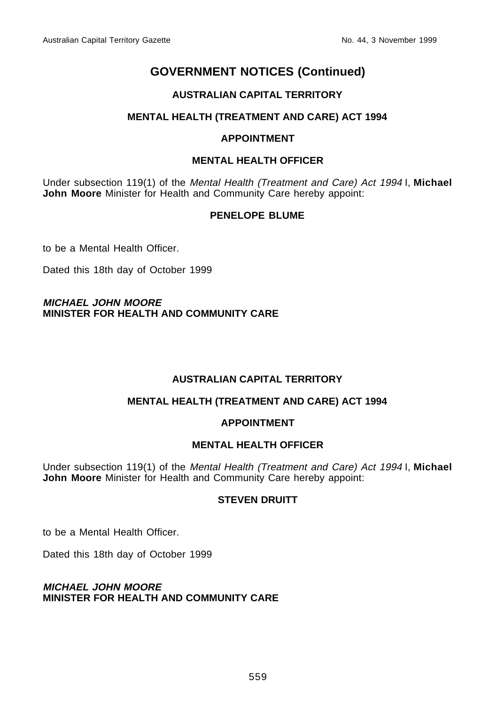#### **AUSTRALIAN CAPITAL TERRITORY**

#### **MENTAL HEALTH (TREATMENT AND CARE) ACT 1994**

#### **APPOINTMENT**

#### **MENTAL HEALTH OFFICER**

Under subsection 119(1) of the Mental Health (Treatment and Care) Act 1994 I, **Michael John Moore** Minister for Health and Community Care hereby appoint:

#### **PENELOPE BLUME**

to be a Mental Health Officer.

Dated this 18th day of October 1999

#### **MICHAEL JOHN MOORE MINISTER FOR HEALTH AND COMMUNITY CARE**

#### **AUSTRALIAN CAPITAL TERRITORY**

#### **MENTAL HEALTH (TREATMENT AND CARE) ACT 1994**

#### **APPOINTMENT**

#### **MENTAL HEALTH OFFICER**

Under subsection 119(1) of the Mental Health (Treatment and Care) Act 1994 I, **Michael John Moore** Minister for Health and Community Care hereby appoint:

#### **STEVEN DRUITT**

to be a Mental Health Officer.

Dated this 18th day of October 1999

#### **MICHAEL JOHN MOORE MINISTER FOR HEALTH AND COMMUNITY CARE**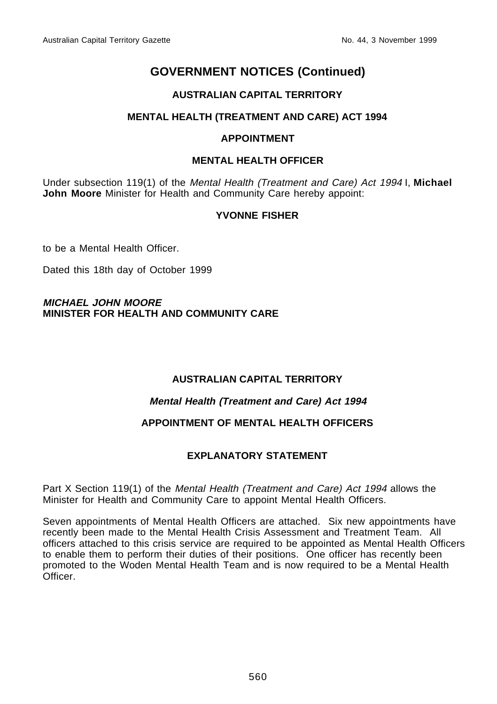#### **AUSTRALIAN CAPITAL TERRITORY**

#### **MENTAL HEALTH (TREATMENT AND CARE) ACT 1994**

#### **APPOINTMENT**

#### **MENTAL HEALTH OFFICER**

Under subsection 119(1) of the Mental Health (Treatment and Care) Act 1994 I, **Michael John Moore** Minister for Health and Community Care hereby appoint:

#### **YVONNE FISHER**

to be a Mental Health Officer.

Dated this 18th day of October 1999

#### **MICHAEL JOHN MOORE MINISTER FOR HEALTH AND COMMUNITY CARE**

#### **AUSTRALIAN CAPITAL TERRITORY**

#### **Mental Health (Treatment and Care) Act 1994**

#### **APPOINTMENT OF MENTAL HEALTH OFFICERS**

#### **EXPLANATORY STATEMENT**

Part X Section 119(1) of the Mental Health (Treatment and Care) Act 1994 allows the Minister for Health and Community Care to appoint Mental Health Officers.

Seven appointments of Mental Health Officers are attached. Six new appointments have recently been made to the Mental Health Crisis Assessment and Treatment Team. All officers attached to this crisis service are required to be appointed as Mental Health Officers to enable them to perform their duties of their positions. One officer has recently been promoted to the Woden Mental Health Team and is now required to be a Mental Health **Officer**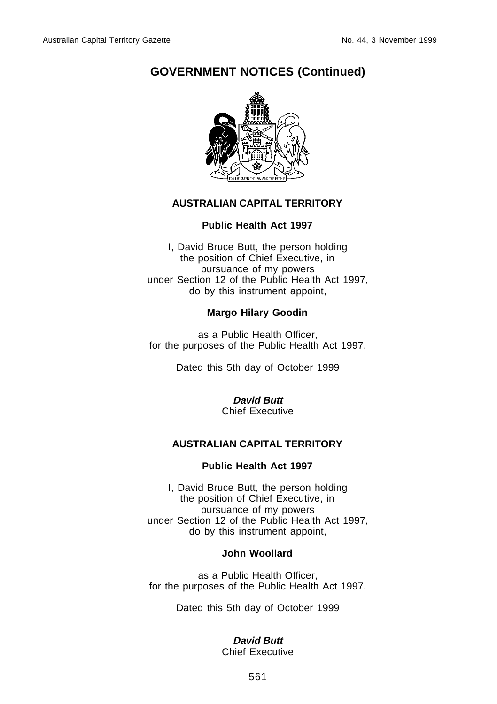

#### **AUSTRALIAN CAPITAL TERRITORY**

#### **Public Health Act 1997**

I, David Bruce Butt, the person holding the position of Chief Executive, in pursuance of my powers under Section 12 of the Public Health Act 1997, do by this instrument appoint,

#### **Margo Hilary Goodin**

as a Public Health Officer, for the purposes of the Public Health Act 1997.

Dated this 5th day of October 1999

#### **David Butt** Chief Executive

#### **AUSTRALIAN CAPITAL TERRITORY**

#### **Public Health Act 1997**

I, David Bruce Butt, the person holding the position of Chief Executive, in pursuance of my powers under Section 12 of the Public Health Act 1997, do by this instrument appoint,

#### **John Woollard**

as a Public Health Officer, for the purposes of the Public Health Act 1997.

Dated this 5th day of October 1999

#### **David Butt**

Chief Executive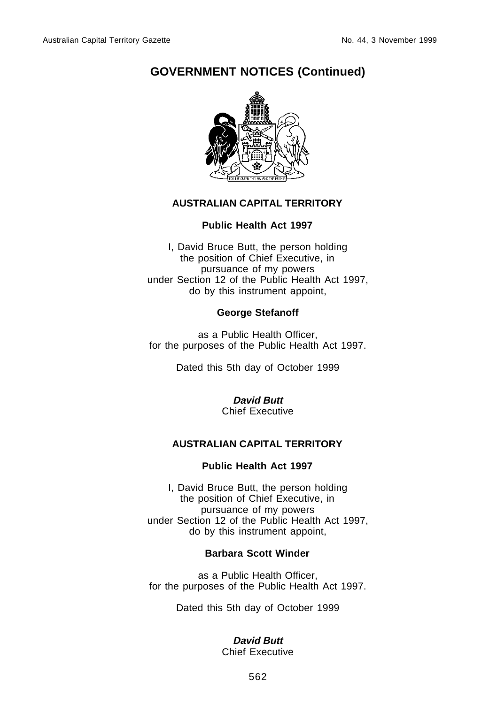

#### **AUSTRALIAN CAPITAL TERRITORY**

#### **Public Health Act 1997**

I, David Bruce Butt, the person holding the position of Chief Executive, in pursuance of my powers under Section 12 of the Public Health Act 1997, do by this instrument appoint,

#### **George Stefanoff**

as a Public Health Officer, for the purposes of the Public Health Act 1997.

Dated this 5th day of October 1999

**David Butt** Chief Executive

#### **AUSTRALIAN CAPITAL TERRITORY**

#### **Public Health Act 1997**

I, David Bruce Butt, the person holding the position of Chief Executive, in pursuance of my powers under Section 12 of the Public Health Act 1997, do by this instrument appoint,

#### **Barbara Scott Winder**

as a Public Health Officer, for the purposes of the Public Health Act 1997.

Dated this 5th day of October 1999

#### **David Butt**

Chief Executive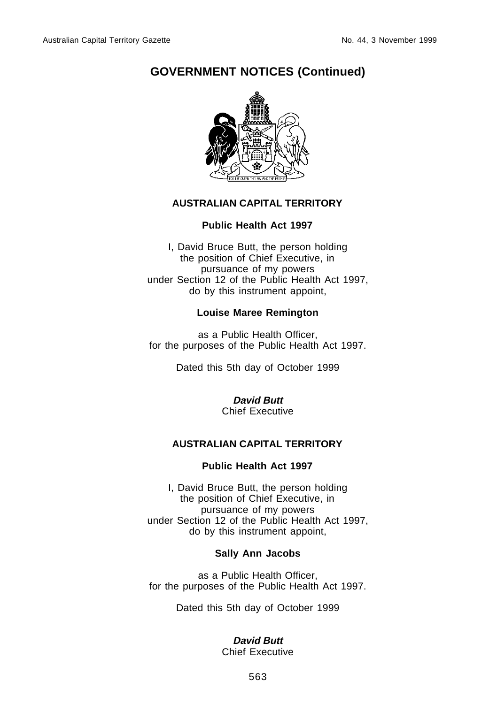

#### **AUSTRALIAN CAPITAL TERRITORY**

#### **Public Health Act 1997**

I, David Bruce Butt, the person holding the position of Chief Executive, in pursuance of my powers under Section 12 of the Public Health Act 1997, do by this instrument appoint,

#### **Louise Maree Remington**

as a Public Health Officer, for the purposes of the Public Health Act 1997.

Dated this 5th day of October 1999

#### **David Butt** Chief Executive

#### **AUSTRALIAN CAPITAL TERRITORY**

#### **Public Health Act 1997**

I, David Bruce Butt, the person holding the position of Chief Executive, in pursuance of my powers under Section 12 of the Public Health Act 1997, do by this instrument appoint,

#### **Sally Ann Jacobs**

as a Public Health Officer, for the purposes of the Public Health Act 1997.

Dated this 5th day of October 1999

#### **David Butt**

Chief Executive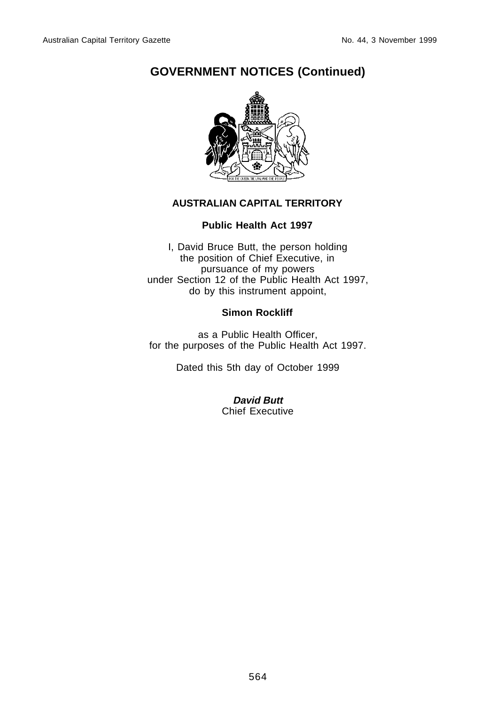

#### **AUSTRALIAN CAPITAL TERRITORY**

#### **Public Health Act 1997**

I, David Bruce Butt, the person holding the position of Chief Executive, in pursuance of my powers under Section 12 of the Public Health Act 1997, do by this instrument appoint,

#### **Simon Rockliff**

as a Public Health Officer, for the purposes of the Public Health Act 1997.

Dated this 5th day of October 1999

**David Butt** Chief Executive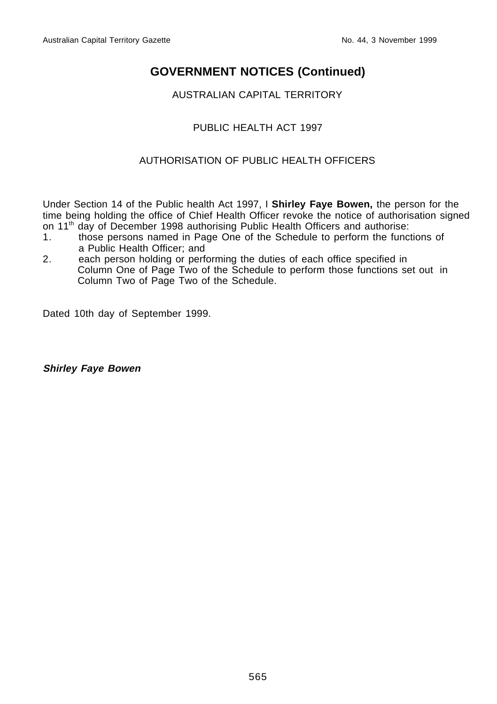AUSTRALIAN CAPITAL TERRITORY

#### PUBLIC HEALTH ACT 1997

#### AUTHORISATION OF PUBLIC HEALTH OFFICERS

Under Section 14 of the Public health Act 1997, I **Shirley Faye Bowen,** the person for the time being holding the office of Chief Health Officer revoke the notice of authorisation signed on 11th day of December 1998 authorising Public Health Officers and authorise:

- 1. those persons named in Page One of the Schedule to perform the functions of a Public Health Officer; and
- 2. each person holding or performing the duties of each office specified in Column One of Page Two of the Schedule to perform those functions set out in Column Two of Page Two of the Schedule.

Dated 10th day of September 1999.

**Shirley Faye Bowen**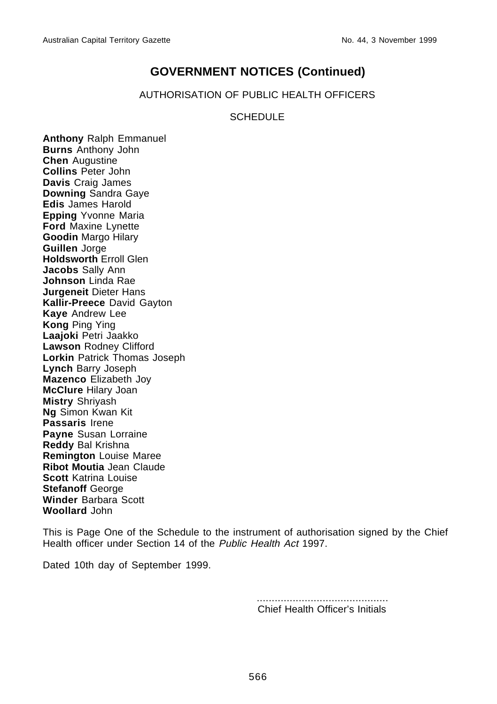AUTHORISATION OF PUBLIC HEALTH OFFICERS

#### **SCHEDULE**

**Anthony** Ralph Emmanuel **Burns** Anthony John **Chen** Augustine **Collins** Peter John **Davis** Craig James **Downing** Sandra Gaye **Edis** James Harold **Epping** Yvonne Maria **Ford** Maxine Lynette **Goodin** Margo Hilary **Guillen** Jorge **Holdsworth** Erroll Glen **Jacobs** Sally Ann **Johnson** Linda Rae **Jurgeneit** Dieter Hans **Kallir-Preece** David Gayton **Kaye** Andrew Lee **Kong** Ping Ying **Laajoki** Petri Jaakko **Lawson** Rodney Clifford **Lorkin** Patrick Thomas Joseph **Lynch** Barry Joseph **Mazenco** Elizabeth Joy **McClure** Hilary Joan **Mistry** Shriyash **Ng** Simon Kwan Kit **Passaris** Irene **Payne** Susan Lorraine **Reddy** Bal Krishna **Remington** Louise Maree **Ribot Moutia** Jean Claude **Scott** Katrina Louise **Stefanoff** George **Winder** Barbara Scott **Woollard** John

This is Page One of the Schedule to the instrument of authorisation signed by the Chief Health officer under Section 14 of the Public Health Act 1997.

Dated 10th day of September 1999.

............................................ Chief Health Officer's Initials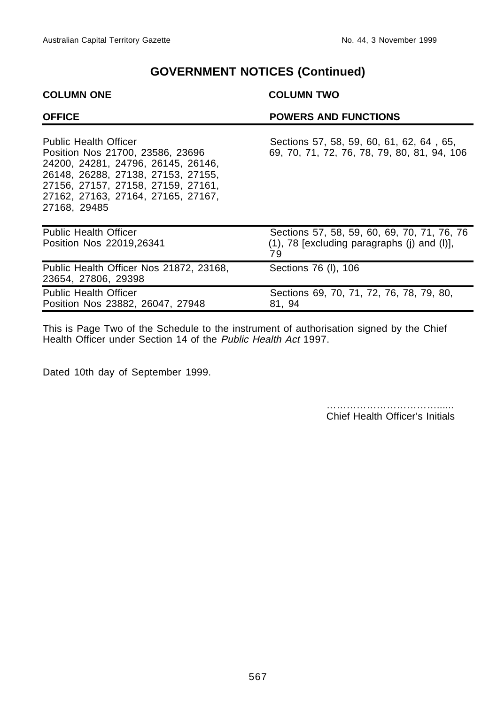## **COLUMN ONE COLUMN TWO OFFICE POWERS AND FUNCTIONS** Public Health Officer Sections 57, 58, 59, 60, 61, 62, 64, 65, Position Nos 21700, 23586, 23696 69, 70, 71, 72, 76, 78, 79, 80, 81, 94, 1 69, 70, 71, 72, 76, 78, 79, 80, 81, 94, 106 24200, 24281, 24796, 26145, 26146, 26148, 26288, 27138, 27153, 27155, 27156, 27157, 27158, 27159, 27161, 27162, 27163, 27164, 27165, 27167, 27168, 29485 Public Health Officer Sections 57, 58, 59, 60, 69, 70, 71, 76, 76 Position Nos 22019,26341 (1), 78 [excluding paragraphs (j) and (l)], 79 Public Health Officer Nos 21872, 23168, Sections 76 (I), 106 23654, 27806, 29398 Public Health Officer Sections 69, 70, 71, 72, 76, 78, 79, 80,

This is Page Two of the Schedule to the instrument of authorisation signed by the Chief Health Officer under Section 14 of the Public Health Act 1997.

Dated 10th day of September 1999.

Position Nos 23882, 26047, 27948 81, 94

……………………………...... Chief Health Officer's Initials